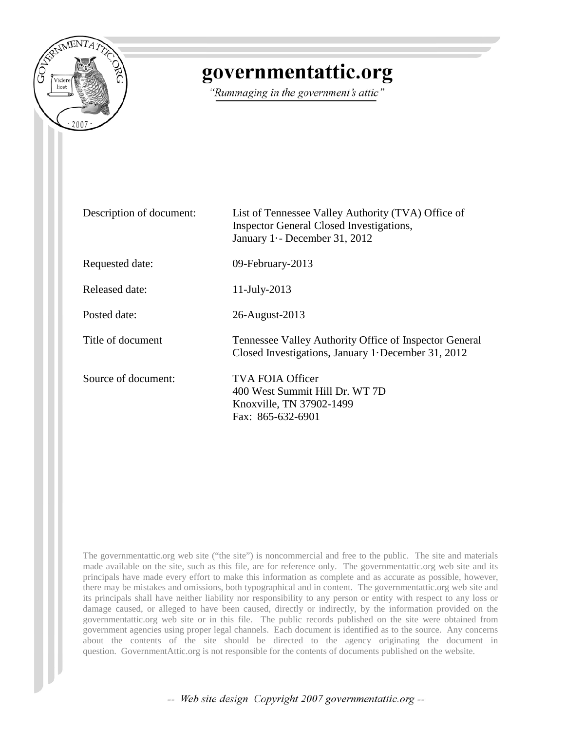

# governmentattic.org

"Rummaging in the government's attic"

| Description of document: | List of Tennessee Valley Authority (TVA) Office of<br>Inspector General Closed Investigations,<br>January 1 -- December 31, 2012 |
|--------------------------|----------------------------------------------------------------------------------------------------------------------------------|
| Requested date:          | 09-February-2013                                                                                                                 |
| Released date:           | 11-July-2013                                                                                                                     |
| Posted date:             | 26-August-2013                                                                                                                   |
| Title of document        | Tennessee Valley Authority Office of Inspector General<br>Closed Investigations, January 1 December 31, 2012                     |
| Source of document:      | TVA FOIA Officer<br>400 West Summit Hill Dr. WT 7D<br>Knoxville, TN 37902-1499<br>Fax: 865-632-6901                              |

The governmentattic.org web site ("the site") is noncommercial and free to the public. The site and materials made available on the site, such as this file, are for reference only. The governmentattic.org web site and its principals have made every effort to make this information as complete and as accurate as possible, however, there may be mistakes and omissions, both typographical and in content. The governmentattic.org web site and its principals shall have neither liability nor responsibility to any person or entity with respect to any loss or damage caused, or alleged to have been caused, directly or indirectly, by the information provided on the governmentattic.org web site or in this file. The public records published on the site were obtained from government agencies using proper legal channels. Each document is identified as to the source. Any concerns about the contents of the site should be directed to the agency originating the document in question. GovernmentAttic.org is not responsible for the contents of documents published on the website.

-- Web site design Copyright 2007 governmentattic.org --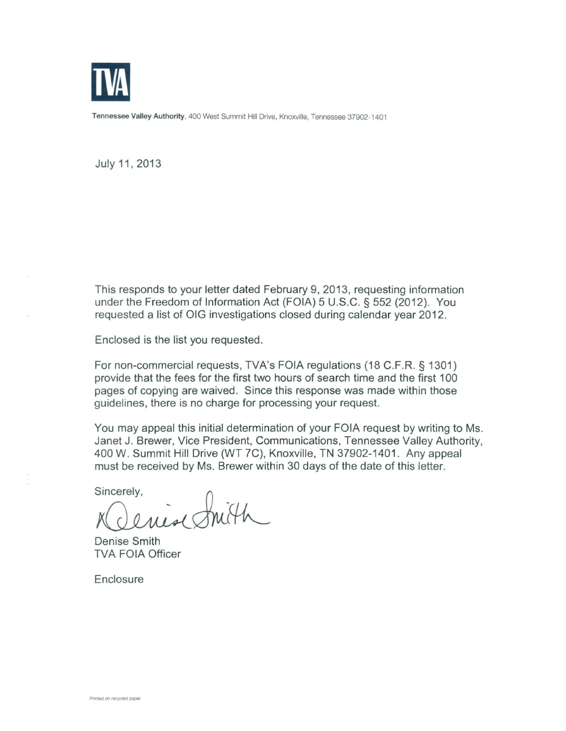

Tennessee Valley Authority, 400 West Summit Hill Drive, Knoxville, Tennessee 37902-1401

July 11, 2013

This responds to your letter dated February 9, 2013, requesting information under the Freedom of Information Act (FOIA) 5 U.S.C. § 552 (2012). You requested a list of OIG investigations closed during calendar year 2012.

Enclosed is the list you requested.

For non-commercial requests, TVA's FOIA regulations (18 C.F.R. § 1301) provide that the fees for the first two hours of search time and the first 100 pages of copying are waived. Since this response was made within those guidelines, there is no charge for processing your request.

You may appeal this initial determination of your FOIA request by writing to Ms. Janet J. Brewer, Vice President, Communications, Tennessee Valley Authority, 400 W. Summit Hill Drive (WT ?C), Knoxville, TN 37902-1401 . Any appeal

must be received by Ms. Brewer within 30 days of the date of this letter.<br>Sincerely,<br> $MQu\ddot{\bullet}Qm\dot{W}$ 

Denise Smith TVA FOIA Officer

**Enclosure**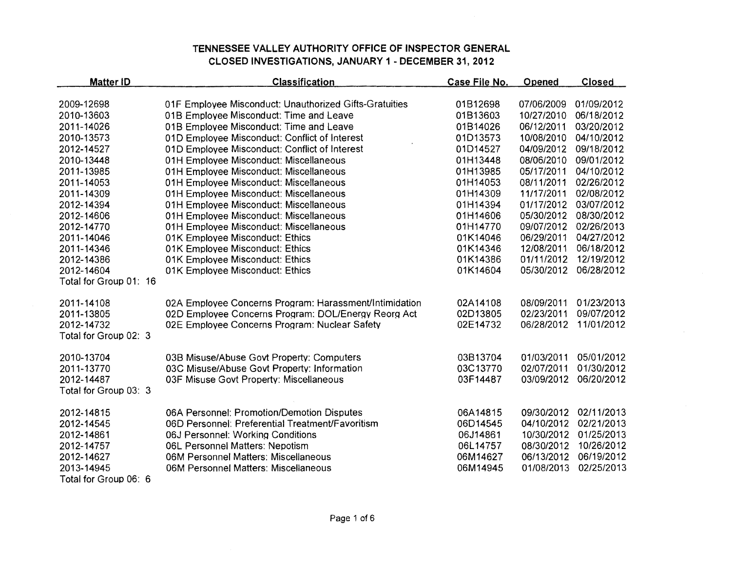| <b>Matter ID</b>         | <b>Classification</b>                                  | Case File No.        | Opened                   | <b>Closed</b>            |
|--------------------------|--------------------------------------------------------|----------------------|--------------------------|--------------------------|
|                          |                                                        |                      |                          |                          |
| 2009-12698<br>2010-13603 | 01F Employee Misconduct: Unauthorized Gifts-Gratuities | 01B12698<br>01B13603 | 07/06/2009<br>10/27/2010 | 01/09/2012<br>06/18/2012 |
|                          | 01B Employee Misconduct: Time and Leave                |                      | 06/12/2011               |                          |
| 2011-14026               | 01B Employee Misconduct: Time and Leave                | 01B14026             |                          | 03/20/2012               |
| 2010-13573               | 01D Employee Misconduct: Conflict of Interest          | 01D13573             | 10/08/2010               | 04/10/2012               |
| 2012-14527               | 01D Employee Misconduct: Conflict of Interest          | 01D14527             | 04/09/2012               | 09/18/2012               |
| 2010-13448               | 01H Employee Misconduct: Miscellaneous                 | 01H13448             | 08/06/2010               | 09/01/2012               |
| 2011-13985               | 01H Employee Misconduct: Miscellaneous                 | 01H13985             | 05/17/2011               | 04/10/2012               |
| 2011-14053               | 01H Employee Misconduct: Miscellaneous                 | 01H14053             | 08/11/2011               | 02/26/2012               |
| 2011-14309               | 01H Employee Misconduct: Miscellaneous                 | 01H14309             | 11/17/2011               | 02/08/2012               |
| 2012-14394               | 01H Employee Misconduct: Miscellaneous                 | 01H14394             | 01/17/2012               | 03/07/2012               |
| 2012-14606               | 01H Employee Misconduct: Miscellaneous                 | 01H14606             | 05/30/2012               | 08/30/2012               |
| 2012-14770               | 01H Employee Misconduct: Miscellaneous                 | 01H14770             | 09/07/2012               | 02/26/2013               |
| 2011-14046               | 01K Employee Misconduct: Ethics                        | 01K14046             | 06/29/2011               | 04/27/2012               |
| 2011-14346               | 01K Employee Misconduct: Ethics                        | 01K14346             | 12/08/2011               | 06/18/2012               |
| 2012-14386               | 01K Employee Misconduct: Ethics                        | 01K14386             | 01/11/2012               | 12/19/2012               |
| 2012-14604               | 01K Employee Misconduct: Ethics                        | 01K14604             | 05/30/2012               | 06/28/2012               |
| Total for Group 01: 16   |                                                        |                      |                          |                          |
| 2011-14108               | 02A Employee Concerns Program: Harassment/Intimidation | 02A14108             | 08/09/2011               | 01/23/2013               |
| 2011-13805               | 02D Employee Concerns Program: DOL/Energy Reorg Act    | 02D13805             | 02/23/2011               | 09/07/2012               |
| 2012-14732               | 02E Employee Concerns Program: Nuclear Safety          | 02E14732             | 06/28/2012               | 11/01/2012               |
| Total for Group 02: 3    |                                                        |                      |                          |                          |
| 2010-13704               | 03B Misuse/Abuse Govt Property: Computers              | 03B13704             | 01/03/2011               | 05/01/2012               |
| 2011-13770               | 03C Misuse/Abuse Govt Property: Information            | 03C13770             | 02/07/2011               | 01/30/2012               |
| 2012-14487               | 03F Misuse Govt Property: Miscellaneous                | 03F14487             | 03/09/2012               | 06/20/2012               |
| Total for Group 03: 3    |                                                        |                      |                          |                          |
|                          |                                                        |                      |                          |                          |
| 2012-14815               | 06A Personnel: Promotion/Demotion Disputes             | 06A14815             | 09/30/2012               | 02/11/2013               |
| 2012-14545               | 06D Personnel: Preferential Treatment/Favoritism       | 06D14545             | 04/10/2012               | 02/21/2013               |
| 2012-14861               | 06J Personnel: Working Conditions                      | 06J14861             | 10/30/2012               | 01/25/2013               |
| 2012-14757               | 06L Personnel Matters: Nepotism                        | 06L14757             | 08/30/2012               | 10/26/2012               |
| 2012-14627               | 06M Personnel Matters: Miscellaneous                   | 06M14627             | 06/13/2012               | 06/19/2012               |
| 2013-14945               | 06M Personnel Matters: Miscellaneous                   | 06M14945             | 01/08/2013               | 02/25/2013               |
| Total for Group 06: 6    |                                                        |                      |                          |                          |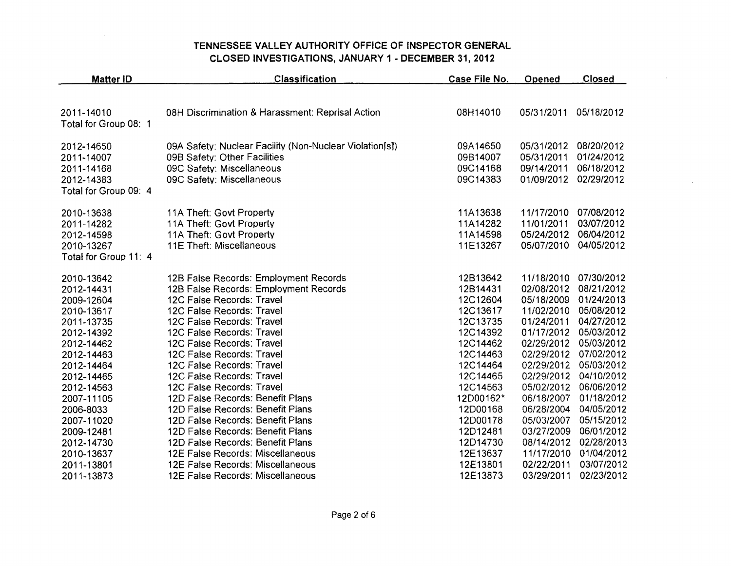| <b>Matter ID</b>      | <b>Classification</b>                                   | Case File No. | Opened     | <b>Closed</b> |
|-----------------------|---------------------------------------------------------|---------------|------------|---------------|
|                       |                                                         |               |            |               |
| 2011-14010            | 08H Discrimination & Harassment: Reprisal Action        | 08H14010      | 05/31/2011 | 05/18/2012    |
| Total for Group 08: 1 |                                                         |               |            |               |
| 2012-14650            | 09A Safety: Nuclear Facility (Non-Nuclear Violation[s]) | 09A14650      | 05/31/2012 | 08/20/2012    |
| 2011-14007            | 09B Safety: Other Facilities                            | 09B14007      | 05/31/2011 | 01/24/2012    |
| 2011-14168            | 09C Safety: Miscellaneous                               | 09C14168      | 09/14/2011 | 06/18/2012    |
| 2012-14383            | 09C Safety: Miscellaneous                               | 09C14383      | 01/09/2012 | 02/29/2012    |
| Total for Group 09: 4 |                                                         |               |            |               |
| 2010-13638            | 11A Theft: Govt Property                                | 11A13638      | 11/17/2010 | 07/08/2012    |
| 2011-14282            | 11A Theft: Govt Property                                | 11A14282      | 11/01/2011 | 03/07/2012    |
| 2012-14598            | 11A Theft: Govt Property                                | 11A14598      | 05/24/2012 | 06/04/2012    |
| 2010-13267            | 11E Theft: Miscellaneous                                | 11E13267      | 05/07/2010 | 04/05/2012    |
| Total for Group 11: 4 |                                                         |               |            |               |
| 2010-13642            | 12B False Records: Employment Records                   | 12B13642      | 11/18/2010 | 07/30/2012    |
| 2012-14431            | 12B False Records: Employment Records                   | 12B14431      | 02/08/2012 | 08/21/2012    |
| 2009-12604            | 12C False Records: Travel                               | 12C12604      | 05/18/2009 | 01/24/2013    |
| 2010-13617            | 12C False Records: Travel                               | 12C13617      | 11/02/2010 | 05/08/2012    |
| 2011-13735            | 12C False Records: Travel                               | 12C13735      | 01/24/2011 | 04/27/2012    |
| 2012-14392            | 12C False Records: Travel                               | 12C14392      | 01/17/2012 | 05/03/2012    |
| 2012-14462            | 12C False Records: Travel                               | 12C14462      | 02/29/2012 | 05/03/2012    |
| 2012-14463            | 12C False Records: Travel                               | 12C14463      | 02/29/2012 | 07/02/2012    |
| 2012-14464            | 12C False Records: Travel                               | 12C14464      | 02/29/2012 | 05/03/2012    |
| 2012-14465            | 12C False Records: Travel                               | 12C14465      | 02/29/2012 | 04/10/2012    |
| 2012-14563            | 12C False Records: Travel                               | 12C14563      | 05/02/2012 | 06/06/2012    |
| 2007-11105            | 12D False Records: Benefit Plans                        | 12D00162*     | 06/18/2007 | 01/18/2012    |
| 2006-8033             | 12D False Records: Benefit Plans                        | 12D00168      | 06/28/2004 | 04/05/2012    |
| 2007-11020            | 12D False Records: Benefit Plans                        | 12D00178      | 05/03/2007 | 05/15/2012    |
| 2009-12481            | 12D False Records: Benefit Plans                        | 12D12481      | 03/27/2009 | 06/01/2012    |
| 2012-14730            | 12D False Records: Benefit Plans                        | 12D14730      | 08/14/2012 | 02/28/2013    |
| 2010-13637            | 12E False Records: Miscellaneous                        | 12E13637      | 11/17/2010 | 01/04/2012    |
| 2011-13801            | 12E False Records: Miscellaneous                        | 12E13801      | 02/22/2011 | 03/07/2012    |
| 2011-13873            | 12E False Records: Miscellaneous                        | 12E13873      | 03/29/2011 | 02/23/2012    |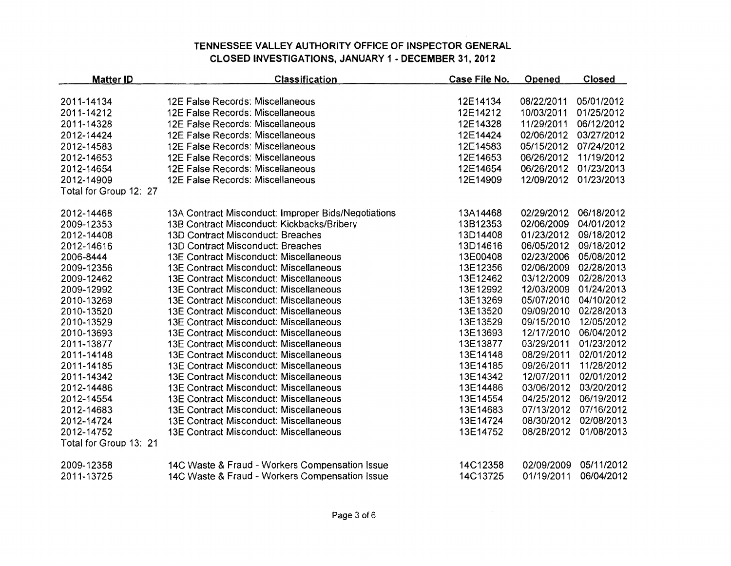| <b>Matter ID</b>       | <b>Classification</b>                               | Case File No. | Opened     | <b>Closed</b> |
|------------------------|-----------------------------------------------------|---------------|------------|---------------|
|                        |                                                     |               |            |               |
| 2011-14134             | 12E False Records: Miscellaneous                    | 12E14134      | 08/22/2011 | 05/01/2012    |
| 2011-14212             | 12E False Records: Miscellaneous                    | 12E14212      | 10/03/2011 | 01/25/2012    |
| 2011-14328             | 12E False Records: Miscellaneous                    | 12E14328      | 11/29/2011 | 06/12/2012    |
| 2012-14424             | 12E False Records: Miscellaneous                    | 12E14424      | 02/06/2012 | 03/27/2012    |
| 2012-14583             | 12E False Records: Miscellaneous                    | 12E14583      | 05/15/2012 | 07/24/2012    |
| 2012-14653             | 12E False Records: Miscellaneous                    | 12E14653      | 06/26/2012 | 11/19/2012    |
| 2012-14654             | 12E False Records: Miscellaneous                    | 12E14654      | 06/26/2012 | 01/23/2013    |
| 2012-14909             | 12E False Records: Miscellaneous                    | 12E14909      | 12/09/2012 | 01/23/2013    |
| Total for Group 12: 27 |                                                     |               |            |               |
| 2012-14468             | 13A Contract Misconduct: Improper Bids/Negotiations | 13A14468      | 02/29/2012 | 06/18/2012    |
| 2009-12353             | 13B Contract Misconduct: Kickbacks/Bribery          | 13B12353      | 02/06/2009 | 04/01/2012    |
| 2012-14408             | 13D Contract Misconduct: Breaches                   | 13D14408      | 01/23/2012 | 09/18/2012    |
| 2012-14616             | 13D Contract Misconduct: Breaches                   | 13D14616      | 06/05/2012 | 09/18/2012    |
| 2006-8444              | 13E Contract Misconduct: Miscellaneous              | 13E00408      | 02/23/2006 | 05/08/2012    |
| 2009-12356             | <b>13E Contract Misconduct: Miscellaneous</b>       | 13E12356      | 02/06/2009 | 02/28/2013    |
| 2009-12462             | 13E Contract Misconduct: Miscellaneous              | 13E12462      | 03/12/2009 | 02/28/2013    |
| 2009-12992             | 13E Contract Misconduct: Miscellaneous              | 13E12992      | 12/03/2009 | 01/24/2013    |
| 2010-13269             | 13E Contract Misconduct: Miscellaneous              | 13E13269      | 05/07/2010 | 04/10/2012    |
| 2010-13520             | 13E Contract Misconduct: Miscellaneous              | 13E13520      | 09/09/2010 | 02/28/2013    |
| 2010-13529             | <b>13E Contract Misconduct: Miscellaneous</b>       | 13E13529      | 09/15/2010 | 12/05/2012    |
| 2010-13693             | 13E Contract Misconduct: Miscellaneous              | 13E13693      | 12/17/2010 | 06/04/2012    |
| 2011-13877             | 13E Contract Misconduct: Miscellaneous              | 13E13877      | 03/29/2011 | 01/23/2012    |
| 2011-14148             | 13E Contract Misconduct: Miscellaneous              | 13E14148      | 08/29/2011 | 02/01/2012    |
| 2011-14185             | 13E Contract Misconduct: Miscellaneous              | 13E14185      | 09/26/2011 | 11/28/2012    |
| 2011-14342             | <b>13E Contract Misconduct: Miscellaneous</b>       | 13E14342      | 12/07/2011 | 02/01/2012    |
| 2012-14486             | 13E Contract Misconduct: Miscellaneous              | 13E14486      | 03/06/2012 | 03/20/2012    |
| 2012-14554             | <b>13E Contract Misconduct: Miscellaneous</b>       | 13E14554      | 04/25/2012 | 06/19/2012    |
| 2012-14683             | 13E Contract Misconduct: Miscellaneous              | 13E14683      | 07/13/2012 | 07/16/2012    |
| 2012-14724             | 13E Contract Misconduct: Miscellaneous              | 13E14724      | 08/30/2012 | 02/08/2013    |
| 2012-14752             | 13E Contract Misconduct: Miscellaneous              | 13E14752      | 08/28/2012 | 01/08/2013    |
| Total for Group 13: 21 |                                                     |               |            |               |
| 2009-12358             | 14C Waste & Fraud - Workers Compensation Issue      | 14C12358      | 02/09/2009 | 05/11/2012    |
| 2011-13725             | 14C Waste & Fraud - Workers Compensation Issue      | 14C13725      | 01/19/2011 | 06/04/2012    |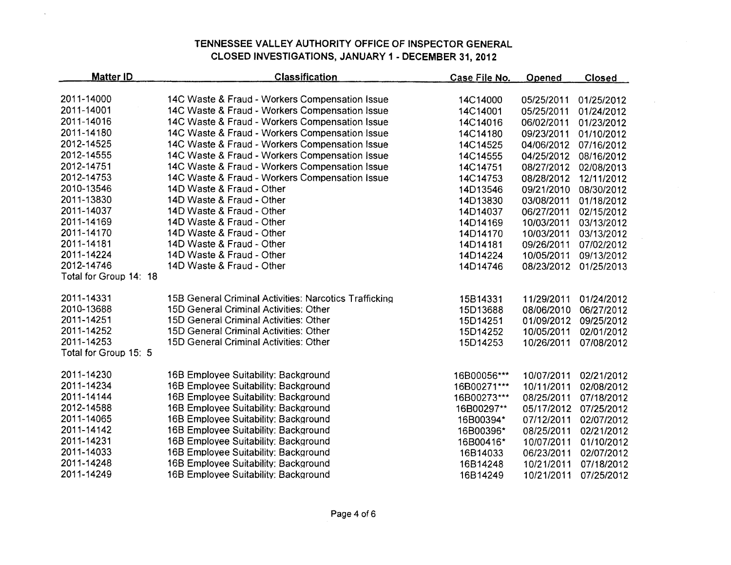$\mathcal{L}$ 

| 2011-14000<br>14C Waste & Fraud - Workers Compensation Issue<br>14C14000<br>05/25/2011<br>01/25/2012<br>2011-14001<br>14C Waste & Fraud - Workers Compensation Issue<br>14C14001<br>05/25/2011<br>01/24/2012<br>2011-14016<br>14C Waste & Fraud - Workers Compensation Issue<br>14C14016<br>06/02/2011<br>01/23/2012<br>2011-14180<br>14C Waste & Fraud - Workers Compensation Issue<br>14C14180<br>09/23/2011<br>01/10/2012<br>2012-14525<br>14C Waste & Fraud - Workers Compensation Issue<br>14C14525<br>04/06/2012<br>07/16/2012<br>2012-14555<br>14C Waste & Fraud - Workers Compensation Issue<br>14C14555<br>04/25/2012<br>08/16/2012<br>2012-14751<br>14C Waste & Fraud - Workers Compensation Issue<br>14C14751<br>08/27/2012<br>02/08/2013<br>2012-14753<br>14C Waste & Fraud - Workers Compensation Issue<br>14C14753<br>08/28/2012<br>12/11/2012<br>2010-13546<br>14D Waste & Fraud - Other<br>14D13546<br>09/21/2010<br>08/30/2012<br>2011-13830<br>14D Waste & Fraud - Other<br>14D13830<br>03/08/2011<br>01/18/2012<br>2011-14037<br>14D Waste & Fraud - Other<br>14D14037<br>06/27/2011<br>02/15/2012<br>2011-14169<br>14D Waste & Fraud - Other<br>14D14169<br>10/03/2011<br>03/13/2012<br>2011-14170<br>14D Waste & Fraud - Other<br>10/03/2011<br>14D14170<br>03/13/2012<br>2011-14181<br>14D Waste & Fraud - Other<br>14D14181<br>09/26/2011<br>07/02/2012<br>2011-14224<br>14D Waste & Fraud - Other<br>14D14224<br>10/05/2011<br>09/13/2012<br>2012-14746<br>14D Waste & Fraud - Other<br>14D14746<br>08/23/2012<br>01/25/2013<br>Total for Group 14: 18<br>2011-14331<br>15B General Criminal Activities: Narcotics Trafficking<br>15B14331<br>11/29/2011<br>01/24/2012<br>2010-13688<br>15D General Criminal Activities: Other<br>15D13688<br>08/06/2010<br>06/27/2012<br>2011-14251<br>15D General Criminal Activities: Other<br>15D14251<br>01/09/2012<br>09/25/2012<br>2011-14252<br>15D General Criminal Activities: Other<br>15D14252<br>10/05/2011<br>02/01/2012<br>2011-14253<br>15D General Criminal Activities: Other<br>15D14253<br>10/26/2011<br>07/08/2012<br>Total for Group 15: 5<br>2011-14230<br>16B Employee Suitability: Background<br>16B00056***<br>10/07/2011<br>02/21/2012<br>2011-14234<br>16B Employee Suitability: Background<br>16B00271***<br>10/11/2011<br>02/08/2012<br>2011-14144<br>16B Employee Suitability: Background<br>16B00273***<br>08/25/2011<br>07/18/2012<br>2012-14588<br>16B Employee Suitability: Background<br>16B00297**<br>05/17/2012<br>07/25/2012<br>2011-14065<br>16B Employee Suitability: Background<br>16B00394*<br>07/12/2011<br>02/07/2012<br>2011-14142<br>16B Employee Suitability: Background<br>16B00396*<br>08/25/2011<br>02/21/2012<br>2011-14231<br>16B Employee Suitability: Background<br>16B00416*<br>10/07/2011<br>01/10/2012<br>2011-14033<br>16B Employee Suitability: Background<br>16B14033<br>06/23/2011<br>02/07/2012<br>2011-14248<br>16B Employee Suitability: Background<br>16B14248<br>10/21/2011<br>07/18/2012 | <b>Matter ID</b> | <b>Classification</b>                | Case File No. | Opened     | <b>Closed</b> |
|---------------------------------------------------------------------------------------------------------------------------------------------------------------------------------------------------------------------------------------------------------------------------------------------------------------------------------------------------------------------------------------------------------------------------------------------------------------------------------------------------------------------------------------------------------------------------------------------------------------------------------------------------------------------------------------------------------------------------------------------------------------------------------------------------------------------------------------------------------------------------------------------------------------------------------------------------------------------------------------------------------------------------------------------------------------------------------------------------------------------------------------------------------------------------------------------------------------------------------------------------------------------------------------------------------------------------------------------------------------------------------------------------------------------------------------------------------------------------------------------------------------------------------------------------------------------------------------------------------------------------------------------------------------------------------------------------------------------------------------------------------------------------------------------------------------------------------------------------------------------------------------------------------------------------------------------------------------------------------------------------------------------------------------------------------------------------------------------------------------------------------------------------------------------------------------------------------------------------------------------------------------------------------------------------------------------------------------------------------------------------------------------------------------------------------------------------------------------------------------------------------------------------------------------------------------------------------------------------------------------------------------------------------------------------------------------------------------------------------------------------------------------------------------------------------------------------------------------------------------------------------------------------------------------------------------------------------------------------------------------------------------------|------------------|--------------------------------------|---------------|------------|---------------|
|                                                                                                                                                                                                                                                                                                                                                                                                                                                                                                                                                                                                                                                                                                                                                                                                                                                                                                                                                                                                                                                                                                                                                                                                                                                                                                                                                                                                                                                                                                                                                                                                                                                                                                                                                                                                                                                                                                                                                                                                                                                                                                                                                                                                                                                                                                                                                                                                                                                                                                                                                                                                                                                                                                                                                                                                                                                                                                                                                                                                                     |                  |                                      |               |            |               |
|                                                                                                                                                                                                                                                                                                                                                                                                                                                                                                                                                                                                                                                                                                                                                                                                                                                                                                                                                                                                                                                                                                                                                                                                                                                                                                                                                                                                                                                                                                                                                                                                                                                                                                                                                                                                                                                                                                                                                                                                                                                                                                                                                                                                                                                                                                                                                                                                                                                                                                                                                                                                                                                                                                                                                                                                                                                                                                                                                                                                                     |                  |                                      |               |            |               |
|                                                                                                                                                                                                                                                                                                                                                                                                                                                                                                                                                                                                                                                                                                                                                                                                                                                                                                                                                                                                                                                                                                                                                                                                                                                                                                                                                                                                                                                                                                                                                                                                                                                                                                                                                                                                                                                                                                                                                                                                                                                                                                                                                                                                                                                                                                                                                                                                                                                                                                                                                                                                                                                                                                                                                                                                                                                                                                                                                                                                                     |                  |                                      |               |            |               |
|                                                                                                                                                                                                                                                                                                                                                                                                                                                                                                                                                                                                                                                                                                                                                                                                                                                                                                                                                                                                                                                                                                                                                                                                                                                                                                                                                                                                                                                                                                                                                                                                                                                                                                                                                                                                                                                                                                                                                                                                                                                                                                                                                                                                                                                                                                                                                                                                                                                                                                                                                                                                                                                                                                                                                                                                                                                                                                                                                                                                                     |                  |                                      |               |            |               |
|                                                                                                                                                                                                                                                                                                                                                                                                                                                                                                                                                                                                                                                                                                                                                                                                                                                                                                                                                                                                                                                                                                                                                                                                                                                                                                                                                                                                                                                                                                                                                                                                                                                                                                                                                                                                                                                                                                                                                                                                                                                                                                                                                                                                                                                                                                                                                                                                                                                                                                                                                                                                                                                                                                                                                                                                                                                                                                                                                                                                                     |                  |                                      |               |            |               |
|                                                                                                                                                                                                                                                                                                                                                                                                                                                                                                                                                                                                                                                                                                                                                                                                                                                                                                                                                                                                                                                                                                                                                                                                                                                                                                                                                                                                                                                                                                                                                                                                                                                                                                                                                                                                                                                                                                                                                                                                                                                                                                                                                                                                                                                                                                                                                                                                                                                                                                                                                                                                                                                                                                                                                                                                                                                                                                                                                                                                                     |                  |                                      |               |            |               |
|                                                                                                                                                                                                                                                                                                                                                                                                                                                                                                                                                                                                                                                                                                                                                                                                                                                                                                                                                                                                                                                                                                                                                                                                                                                                                                                                                                                                                                                                                                                                                                                                                                                                                                                                                                                                                                                                                                                                                                                                                                                                                                                                                                                                                                                                                                                                                                                                                                                                                                                                                                                                                                                                                                                                                                                                                                                                                                                                                                                                                     |                  |                                      |               |            |               |
|                                                                                                                                                                                                                                                                                                                                                                                                                                                                                                                                                                                                                                                                                                                                                                                                                                                                                                                                                                                                                                                                                                                                                                                                                                                                                                                                                                                                                                                                                                                                                                                                                                                                                                                                                                                                                                                                                                                                                                                                                                                                                                                                                                                                                                                                                                                                                                                                                                                                                                                                                                                                                                                                                                                                                                                                                                                                                                                                                                                                                     |                  |                                      |               |            |               |
|                                                                                                                                                                                                                                                                                                                                                                                                                                                                                                                                                                                                                                                                                                                                                                                                                                                                                                                                                                                                                                                                                                                                                                                                                                                                                                                                                                                                                                                                                                                                                                                                                                                                                                                                                                                                                                                                                                                                                                                                                                                                                                                                                                                                                                                                                                                                                                                                                                                                                                                                                                                                                                                                                                                                                                                                                                                                                                                                                                                                                     |                  |                                      |               |            |               |
|                                                                                                                                                                                                                                                                                                                                                                                                                                                                                                                                                                                                                                                                                                                                                                                                                                                                                                                                                                                                                                                                                                                                                                                                                                                                                                                                                                                                                                                                                                                                                                                                                                                                                                                                                                                                                                                                                                                                                                                                                                                                                                                                                                                                                                                                                                                                                                                                                                                                                                                                                                                                                                                                                                                                                                                                                                                                                                                                                                                                                     |                  |                                      |               |            |               |
|                                                                                                                                                                                                                                                                                                                                                                                                                                                                                                                                                                                                                                                                                                                                                                                                                                                                                                                                                                                                                                                                                                                                                                                                                                                                                                                                                                                                                                                                                                                                                                                                                                                                                                                                                                                                                                                                                                                                                                                                                                                                                                                                                                                                                                                                                                                                                                                                                                                                                                                                                                                                                                                                                                                                                                                                                                                                                                                                                                                                                     |                  |                                      |               |            |               |
|                                                                                                                                                                                                                                                                                                                                                                                                                                                                                                                                                                                                                                                                                                                                                                                                                                                                                                                                                                                                                                                                                                                                                                                                                                                                                                                                                                                                                                                                                                                                                                                                                                                                                                                                                                                                                                                                                                                                                                                                                                                                                                                                                                                                                                                                                                                                                                                                                                                                                                                                                                                                                                                                                                                                                                                                                                                                                                                                                                                                                     |                  |                                      |               |            |               |
|                                                                                                                                                                                                                                                                                                                                                                                                                                                                                                                                                                                                                                                                                                                                                                                                                                                                                                                                                                                                                                                                                                                                                                                                                                                                                                                                                                                                                                                                                                                                                                                                                                                                                                                                                                                                                                                                                                                                                                                                                                                                                                                                                                                                                                                                                                                                                                                                                                                                                                                                                                                                                                                                                                                                                                                                                                                                                                                                                                                                                     |                  |                                      |               |            |               |
|                                                                                                                                                                                                                                                                                                                                                                                                                                                                                                                                                                                                                                                                                                                                                                                                                                                                                                                                                                                                                                                                                                                                                                                                                                                                                                                                                                                                                                                                                                                                                                                                                                                                                                                                                                                                                                                                                                                                                                                                                                                                                                                                                                                                                                                                                                                                                                                                                                                                                                                                                                                                                                                                                                                                                                                                                                                                                                                                                                                                                     |                  |                                      |               |            |               |
|                                                                                                                                                                                                                                                                                                                                                                                                                                                                                                                                                                                                                                                                                                                                                                                                                                                                                                                                                                                                                                                                                                                                                                                                                                                                                                                                                                                                                                                                                                                                                                                                                                                                                                                                                                                                                                                                                                                                                                                                                                                                                                                                                                                                                                                                                                                                                                                                                                                                                                                                                                                                                                                                                                                                                                                                                                                                                                                                                                                                                     |                  |                                      |               |            |               |
|                                                                                                                                                                                                                                                                                                                                                                                                                                                                                                                                                                                                                                                                                                                                                                                                                                                                                                                                                                                                                                                                                                                                                                                                                                                                                                                                                                                                                                                                                                                                                                                                                                                                                                                                                                                                                                                                                                                                                                                                                                                                                                                                                                                                                                                                                                                                                                                                                                                                                                                                                                                                                                                                                                                                                                                                                                                                                                                                                                                                                     |                  |                                      |               |            |               |
|                                                                                                                                                                                                                                                                                                                                                                                                                                                                                                                                                                                                                                                                                                                                                                                                                                                                                                                                                                                                                                                                                                                                                                                                                                                                                                                                                                                                                                                                                                                                                                                                                                                                                                                                                                                                                                                                                                                                                                                                                                                                                                                                                                                                                                                                                                                                                                                                                                                                                                                                                                                                                                                                                                                                                                                                                                                                                                                                                                                                                     |                  |                                      |               |            |               |
|                                                                                                                                                                                                                                                                                                                                                                                                                                                                                                                                                                                                                                                                                                                                                                                                                                                                                                                                                                                                                                                                                                                                                                                                                                                                                                                                                                                                                                                                                                                                                                                                                                                                                                                                                                                                                                                                                                                                                                                                                                                                                                                                                                                                                                                                                                                                                                                                                                                                                                                                                                                                                                                                                                                                                                                                                                                                                                                                                                                                                     |                  |                                      |               |            |               |
|                                                                                                                                                                                                                                                                                                                                                                                                                                                                                                                                                                                                                                                                                                                                                                                                                                                                                                                                                                                                                                                                                                                                                                                                                                                                                                                                                                                                                                                                                                                                                                                                                                                                                                                                                                                                                                                                                                                                                                                                                                                                                                                                                                                                                                                                                                                                                                                                                                                                                                                                                                                                                                                                                                                                                                                                                                                                                                                                                                                                                     |                  |                                      |               |            |               |
|                                                                                                                                                                                                                                                                                                                                                                                                                                                                                                                                                                                                                                                                                                                                                                                                                                                                                                                                                                                                                                                                                                                                                                                                                                                                                                                                                                                                                                                                                                                                                                                                                                                                                                                                                                                                                                                                                                                                                                                                                                                                                                                                                                                                                                                                                                                                                                                                                                                                                                                                                                                                                                                                                                                                                                                                                                                                                                                                                                                                                     |                  |                                      |               |            |               |
|                                                                                                                                                                                                                                                                                                                                                                                                                                                                                                                                                                                                                                                                                                                                                                                                                                                                                                                                                                                                                                                                                                                                                                                                                                                                                                                                                                                                                                                                                                                                                                                                                                                                                                                                                                                                                                                                                                                                                                                                                                                                                                                                                                                                                                                                                                                                                                                                                                                                                                                                                                                                                                                                                                                                                                                                                                                                                                                                                                                                                     |                  |                                      |               |            |               |
|                                                                                                                                                                                                                                                                                                                                                                                                                                                                                                                                                                                                                                                                                                                                                                                                                                                                                                                                                                                                                                                                                                                                                                                                                                                                                                                                                                                                                                                                                                                                                                                                                                                                                                                                                                                                                                                                                                                                                                                                                                                                                                                                                                                                                                                                                                                                                                                                                                                                                                                                                                                                                                                                                                                                                                                                                                                                                                                                                                                                                     |                  |                                      |               |            |               |
|                                                                                                                                                                                                                                                                                                                                                                                                                                                                                                                                                                                                                                                                                                                                                                                                                                                                                                                                                                                                                                                                                                                                                                                                                                                                                                                                                                                                                                                                                                                                                                                                                                                                                                                                                                                                                                                                                                                                                                                                                                                                                                                                                                                                                                                                                                                                                                                                                                                                                                                                                                                                                                                                                                                                                                                                                                                                                                                                                                                                                     |                  |                                      |               |            |               |
|                                                                                                                                                                                                                                                                                                                                                                                                                                                                                                                                                                                                                                                                                                                                                                                                                                                                                                                                                                                                                                                                                                                                                                                                                                                                                                                                                                                                                                                                                                                                                                                                                                                                                                                                                                                                                                                                                                                                                                                                                                                                                                                                                                                                                                                                                                                                                                                                                                                                                                                                                                                                                                                                                                                                                                                                                                                                                                                                                                                                                     |                  |                                      |               |            |               |
|                                                                                                                                                                                                                                                                                                                                                                                                                                                                                                                                                                                                                                                                                                                                                                                                                                                                                                                                                                                                                                                                                                                                                                                                                                                                                                                                                                                                                                                                                                                                                                                                                                                                                                                                                                                                                                                                                                                                                                                                                                                                                                                                                                                                                                                                                                                                                                                                                                                                                                                                                                                                                                                                                                                                                                                                                                                                                                                                                                                                                     |                  |                                      |               |            |               |
|                                                                                                                                                                                                                                                                                                                                                                                                                                                                                                                                                                                                                                                                                                                                                                                                                                                                                                                                                                                                                                                                                                                                                                                                                                                                                                                                                                                                                                                                                                                                                                                                                                                                                                                                                                                                                                                                                                                                                                                                                                                                                                                                                                                                                                                                                                                                                                                                                                                                                                                                                                                                                                                                                                                                                                                                                                                                                                                                                                                                                     |                  |                                      |               |            |               |
|                                                                                                                                                                                                                                                                                                                                                                                                                                                                                                                                                                                                                                                                                                                                                                                                                                                                                                                                                                                                                                                                                                                                                                                                                                                                                                                                                                                                                                                                                                                                                                                                                                                                                                                                                                                                                                                                                                                                                                                                                                                                                                                                                                                                                                                                                                                                                                                                                                                                                                                                                                                                                                                                                                                                                                                                                                                                                                                                                                                                                     |                  |                                      |               |            |               |
|                                                                                                                                                                                                                                                                                                                                                                                                                                                                                                                                                                                                                                                                                                                                                                                                                                                                                                                                                                                                                                                                                                                                                                                                                                                                                                                                                                                                                                                                                                                                                                                                                                                                                                                                                                                                                                                                                                                                                                                                                                                                                                                                                                                                                                                                                                                                                                                                                                                                                                                                                                                                                                                                                                                                                                                                                                                                                                                                                                                                                     |                  |                                      |               |            |               |
|                                                                                                                                                                                                                                                                                                                                                                                                                                                                                                                                                                                                                                                                                                                                                                                                                                                                                                                                                                                                                                                                                                                                                                                                                                                                                                                                                                                                                                                                                                                                                                                                                                                                                                                                                                                                                                                                                                                                                                                                                                                                                                                                                                                                                                                                                                                                                                                                                                                                                                                                                                                                                                                                                                                                                                                                                                                                                                                                                                                                                     |                  |                                      |               |            |               |
|                                                                                                                                                                                                                                                                                                                                                                                                                                                                                                                                                                                                                                                                                                                                                                                                                                                                                                                                                                                                                                                                                                                                                                                                                                                                                                                                                                                                                                                                                                                                                                                                                                                                                                                                                                                                                                                                                                                                                                                                                                                                                                                                                                                                                                                                                                                                                                                                                                                                                                                                                                                                                                                                                                                                                                                                                                                                                                                                                                                                                     |                  |                                      |               |            |               |
|                                                                                                                                                                                                                                                                                                                                                                                                                                                                                                                                                                                                                                                                                                                                                                                                                                                                                                                                                                                                                                                                                                                                                                                                                                                                                                                                                                                                                                                                                                                                                                                                                                                                                                                                                                                                                                                                                                                                                                                                                                                                                                                                                                                                                                                                                                                                                                                                                                                                                                                                                                                                                                                                                                                                                                                                                                                                                                                                                                                                                     |                  |                                      |               |            |               |
|                                                                                                                                                                                                                                                                                                                                                                                                                                                                                                                                                                                                                                                                                                                                                                                                                                                                                                                                                                                                                                                                                                                                                                                                                                                                                                                                                                                                                                                                                                                                                                                                                                                                                                                                                                                                                                                                                                                                                                                                                                                                                                                                                                                                                                                                                                                                                                                                                                                                                                                                                                                                                                                                                                                                                                                                                                                                                                                                                                                                                     |                  |                                      |               |            |               |
|                                                                                                                                                                                                                                                                                                                                                                                                                                                                                                                                                                                                                                                                                                                                                                                                                                                                                                                                                                                                                                                                                                                                                                                                                                                                                                                                                                                                                                                                                                                                                                                                                                                                                                                                                                                                                                                                                                                                                                                                                                                                                                                                                                                                                                                                                                                                                                                                                                                                                                                                                                                                                                                                                                                                                                                                                                                                                                                                                                                                                     |                  |                                      |               |            |               |
|                                                                                                                                                                                                                                                                                                                                                                                                                                                                                                                                                                                                                                                                                                                                                                                                                                                                                                                                                                                                                                                                                                                                                                                                                                                                                                                                                                                                                                                                                                                                                                                                                                                                                                                                                                                                                                                                                                                                                                                                                                                                                                                                                                                                                                                                                                                                                                                                                                                                                                                                                                                                                                                                                                                                                                                                                                                                                                                                                                                                                     | 2011-14249       | 16B Employee Suitability: Background | 16B14249      | 10/21/2011 | 07/25/2012    |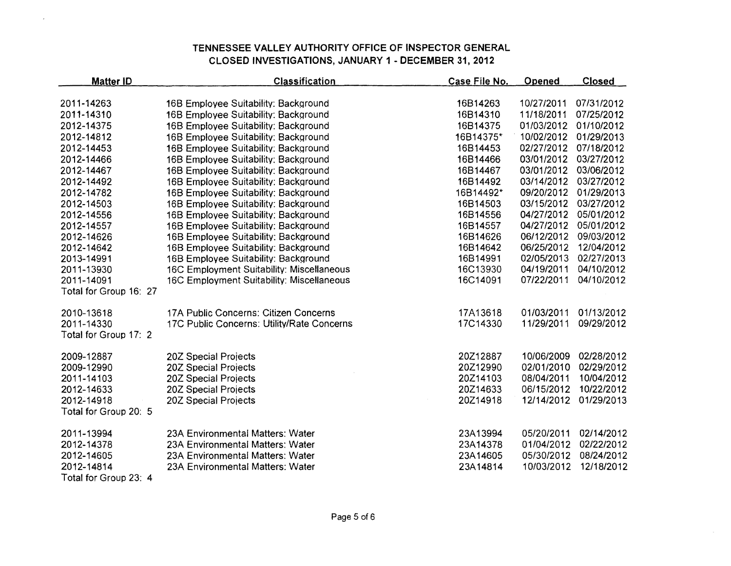$\lambda$ 

| <b>Matter ID</b>       | <b>Classification</b>                      | Case File No. | <b>Opened</b> | <b>Closed</b> |
|------------------------|--------------------------------------------|---------------|---------------|---------------|
| 2011-14263             | 16B Employee Suitability: Background       | 16B14263      | 10/27/2011    | 07/31/2012    |
| 2011-14310             | 16B Employee Suitability: Background       | 16B14310      | 11/18/2011    | 07/25/2012    |
| 2012-14375             | 16B Employee Suitability: Background       | 16B14375      | 01/03/2012    | 01/10/2012    |
| 2012-14812             | 16B Employee Suitability: Background       | 16B14375*     | 10/02/2012    | 01/29/2013    |
| 2012-14453             | 16B Employee Suitability: Background       | 16B14453      | 02/27/2012    | 07/18/2012    |
| 2012-14466             | 16B Employee Suitability: Background       | 16B14466      | 03/01/2012    | 03/27/2012    |
| 2012-14467             | 16B Employee Suitability: Background       | 16B14467      | 03/01/2012    | 03/06/2012    |
| 2012-14492             | 16B Employee Suitability: Background       | 16B14492      | 03/14/2012    | 03/27/2012    |
| 2012-14782             | 16B Employee Suitability: Background       | 16B14492*     | 09/20/2012    | 01/29/2013    |
| 2012-14503             | 16B Employee Suitability: Background       | 16B14503      | 03/15/2012    | 03/27/2012    |
| 2012-14556             | 16B Employee Suitability: Background       | 16B14556      | 04/27/2012    | 05/01/2012    |
| 2012-14557             | 16B Employee Suitability: Background       | 16B14557      | 04/27/2012    | 05/01/2012    |
| 2012-14626             | 16B Employee Suitability: Background       | 16B14626      | 06/12/2012    | 09/03/2012    |
| 2012-14642             | 16B Employee Suitability: Background       | 16B14642      | 06/25/2012    | 12/04/2012    |
| 2013-14991             | 16B Employee Suitability: Background       | 16B14991      | 02/05/2013    | 02/27/2013    |
| 2011-13930             | 16C Employment Suitability: Miscellaneous  | 16C13930      | 04/19/2011    | 04/10/2012    |
| 2011-14091             | 16C Employment Suitability: Miscellaneous  | 16C14091      | 07/22/2011    | 04/10/2012    |
| Total for Group 16: 27 |                                            |               |               |               |
| 2010-13618             | 17A Public Concerns: Citizen Concerns      | 17A13618      | 01/03/2011    | 01/13/2012    |
| 2011-14330             | 17C Public Concerns: Utility/Rate Concerns | 17C14330      | 11/29/2011    | 09/29/2012    |
| Total for Group 17: 2  |                                            |               |               |               |
| 2009-12887             | 20Z Special Projects                       | 20Z12887      | 10/06/2009    | 02/28/2012    |
| 2009-12990             | 20Z Special Projects                       | 20Z12990      | 02/01/2010    | 02/29/2012    |
| 2011-14103             | 20Z Special Projects                       | 20Z14103      | 08/04/2011    | 10/04/2012    |
| 2012-14633             | 20Z Special Projects                       | 20Z14633      | 06/15/2012    | 10/22/2012    |
| 2012-14918             | 20Z Special Projects                       | 20Z14918      | 12/14/2012    | 01/29/2013    |
| Total for Group 20: 5  |                                            |               |               |               |
| 2011-13994             | 23A Environmental Matters: Water           | 23A13994      | 05/20/2011    | 02/14/2012    |
| 2012-14378             | 23A Environmental Matters: Water           | 23A14378      | 01/04/2012    | 02/22/2012    |
| 2012-14605             | 23A Environmental Matters: Water           | 23A14605      | 05/30/2012    | 08/24/2012    |
| 2012-14814             | 23A Environmental Matters: Water           | 23A14814      | 10/03/2012    | 12/18/2012    |
| Total for Group 23: 4  |                                            |               |               |               |

Page 5 of 6